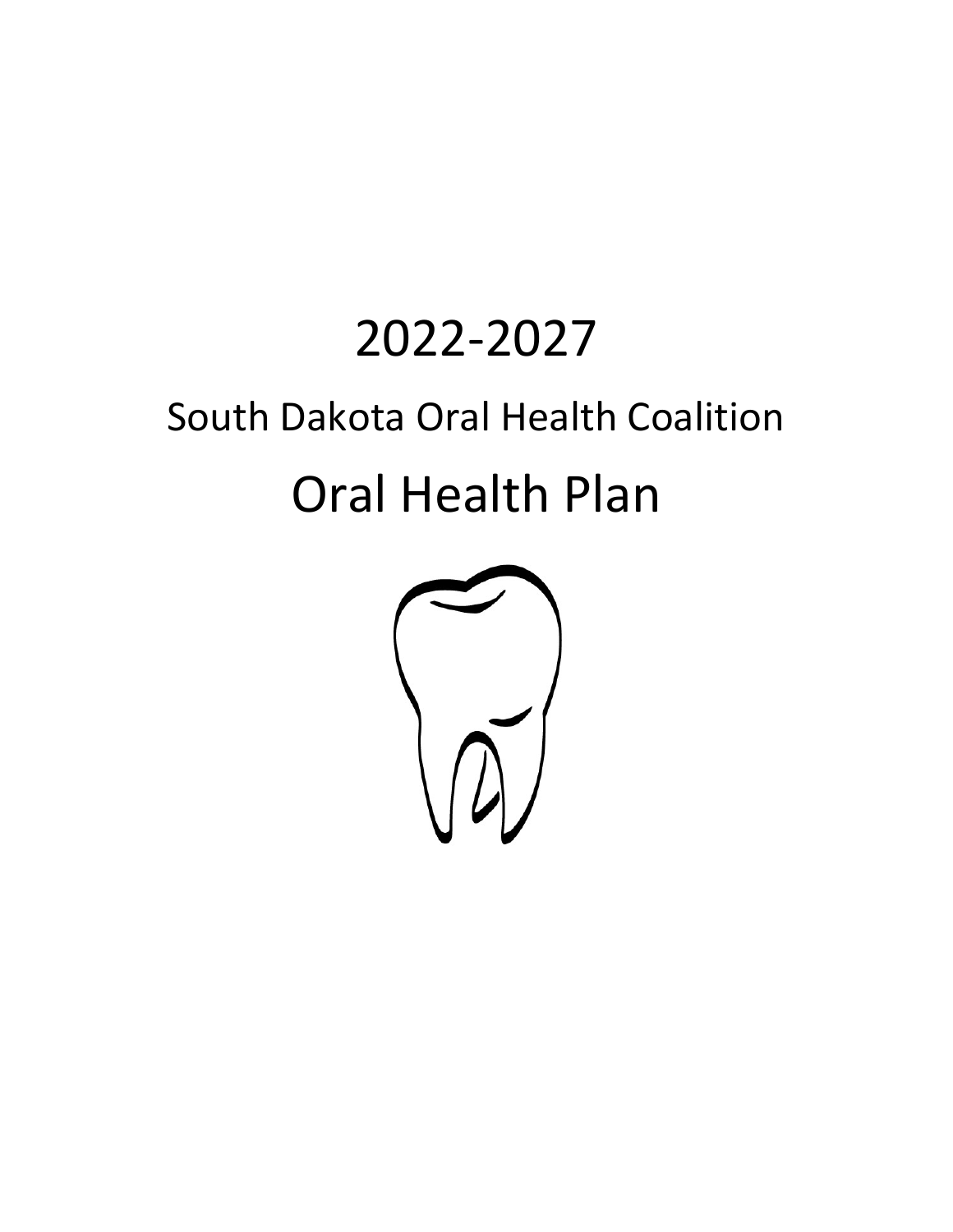# 2022-2027 South Dakota Oral Health Coalition Oral Health Plan

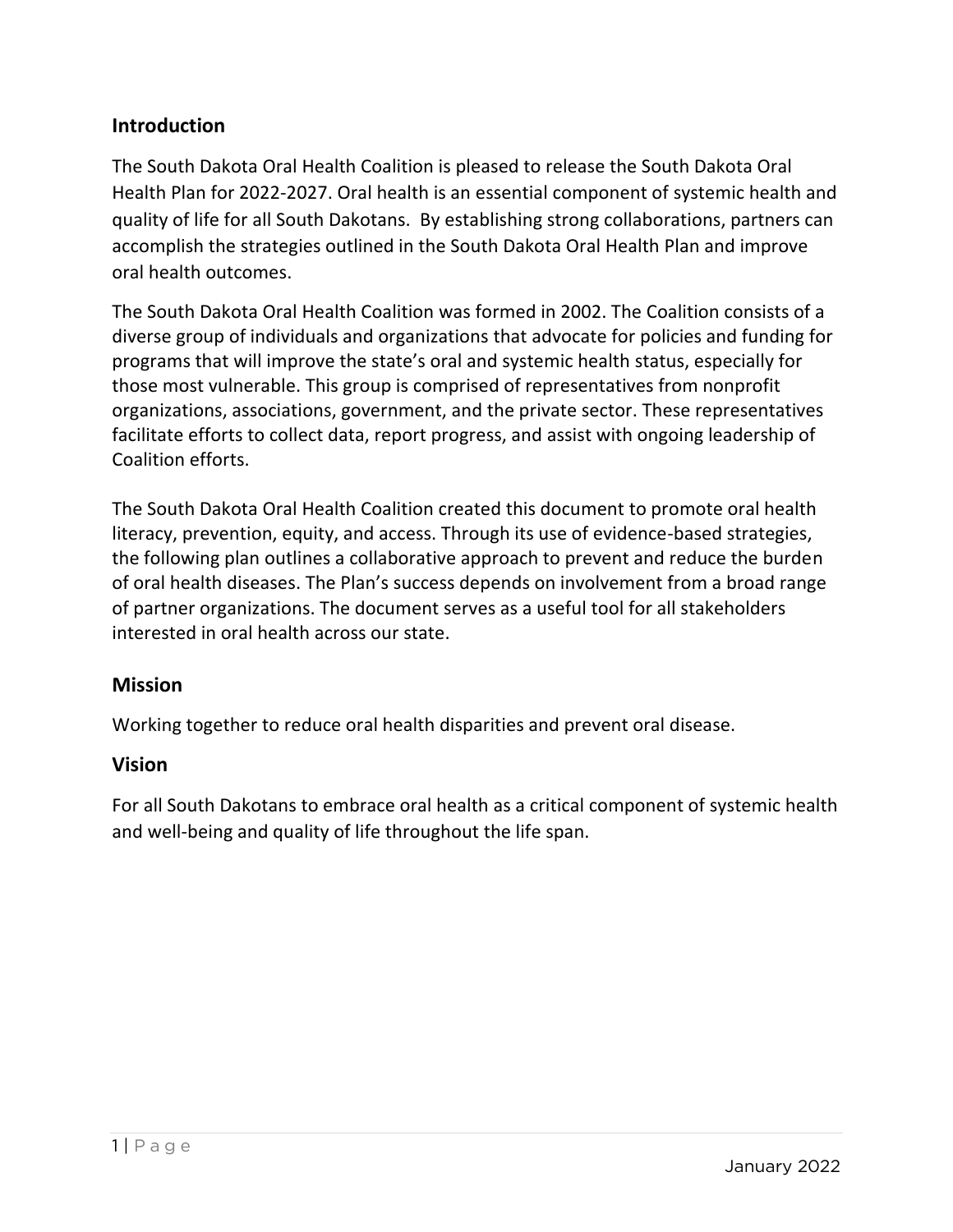# **Introduction**

The South Dakota Oral Health Coalition is pleased to release the South Dakota Oral Health Plan for 2022-2027. Oral health is an essential component of systemic health and quality of life for all South Dakotans. By establishing strong collaborations, partners can accomplish the strategies outlined in the South Dakota Oral Health Plan and improve oral health outcomes.

The South Dakota Oral Health Coalition was formed in 2002. The Coalition consists of a diverse group of individuals and organizations that advocate for policies and funding for programs that will improve the state's oral and systemic health status, especially for those most vulnerable. This group is comprised of representatives from nonprofit organizations, associations, government, and the private sector. These representatives facilitate efforts to collect data, report progress, and assist with ongoing leadership of Coalition efforts.

The South Dakota Oral Health Coalition created this document to promote oral health literacy, prevention, equity, and access. Through its use of evidence-based strategies, the following plan outlines a collaborative approach to prevent and reduce the burden of oral health diseases. The Plan's success depends on involvement from a broad range of partner organizations. The document serves as a useful tool for all stakeholders interested in oral health across our state.

# **Mission**

Working together to reduce oral health disparities and prevent oral disease.

## **Vision**

For all South Dakotans to embrace oral health as a critical component of systemic health and well-being and quality of life throughout the life span.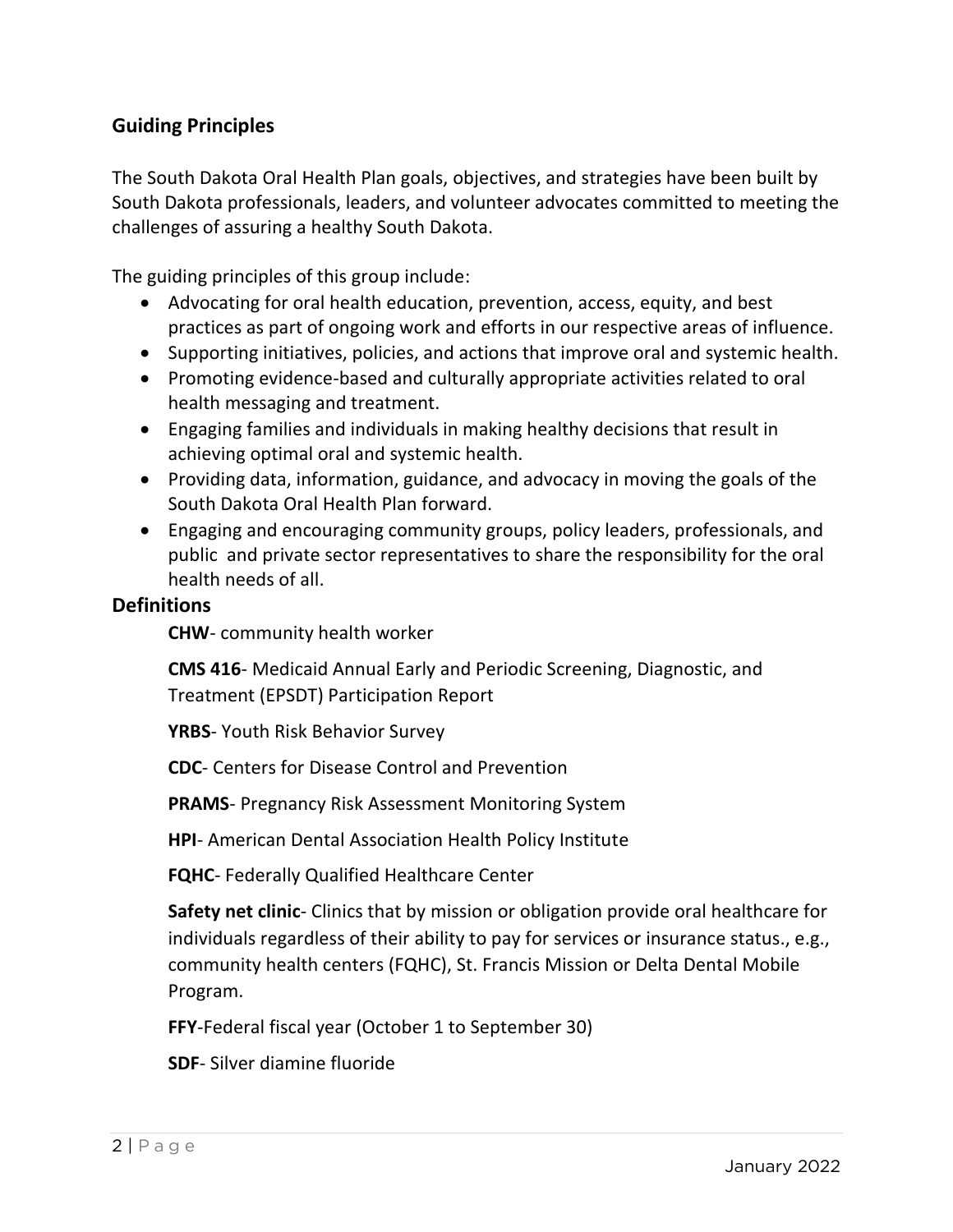# **Guiding Principles**

The South Dakota Oral Health Plan goals, objectives, and strategies have been built by South Dakota professionals, leaders, and volunteer advocates committed to meeting the challenges of assuring a healthy South Dakota.

The guiding principles of this group include:

- Advocating for oral health education, prevention, access, equity, and best practices as part of ongoing work and efforts in our respective areas of influence.
- Supporting initiatives, policies, and actions that improve oral and systemic health.
- Promoting evidence-based and culturally appropriate activities related to oral health messaging and treatment.
- Engaging families and individuals in making healthy decisions that result in achieving optimal oral and systemic health.
- Providing data, information, guidance, and advocacy in moving the goals of the South Dakota Oral Health Plan forward.
- Engaging and encouraging community groups, policy leaders, professionals, and public and private sector representatives to share the responsibility for the oral health needs of all.

## **Definitions**

**CHW**- community health worker

**CMS 416**- Medicaid Annual Early and Periodic Screening, Diagnostic, and Treatment (EPSDT) Participation Report

**YRBS**- Youth Risk Behavior Survey

**CDC**- Centers for Disease Control and Prevention

**PRAMS**- Pregnancy Risk Assessment Monitoring System

**HPI**- American Dental Association Health Policy Institute

**FQHC**- Federally Qualified Healthcare Center

**Safety net clinic**- Clinics that by mission or obligation provide oral healthcare for individuals regardless of their ability to pay for services or insurance status., e.g., community health centers (FQHC), St. Francis Mission or Delta Dental Mobile Program.

**FFY**-Federal fiscal year (October 1 to September 30)

**SDF**- Silver diamine fluoride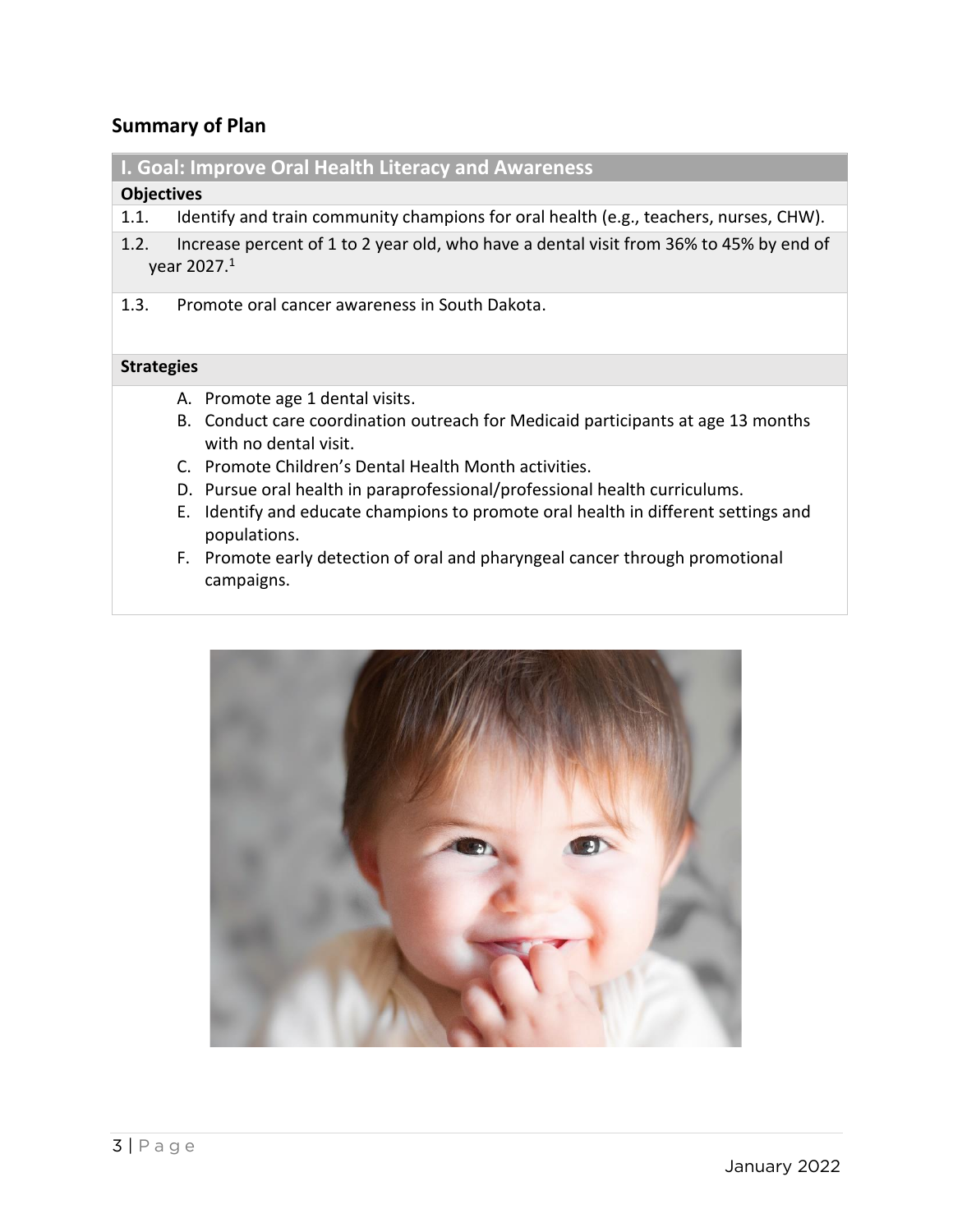# **Summary of Plan**

# **I. Goal: Improve Oral Health Literacy and Awareness**

#### **Objectives**

- 1.1. Identify and train community champions for oral health (e.g., teachers, nurses, CHW).
- 1.2. Increase percent of 1 to 2 year old, who have a dental visit from 36% to 45% by end of year 2027. 1
- 1.3. Promote oral cancer awareness in South Dakota.

#### **Strategies**

- A. Promote age 1 dental visits.
- B. Conduct care coordination outreach for Medicaid participants at age 13 months with no dental visit.
- C. Promote Children's Dental Health Month activities.
- D. Pursue oral health in paraprofessional/professional health curriculums.
- E. Identify and educate champions to promote oral health in different settings and populations.
- F. Promote early detection of oral and pharyngeal cancer through promotional campaigns.

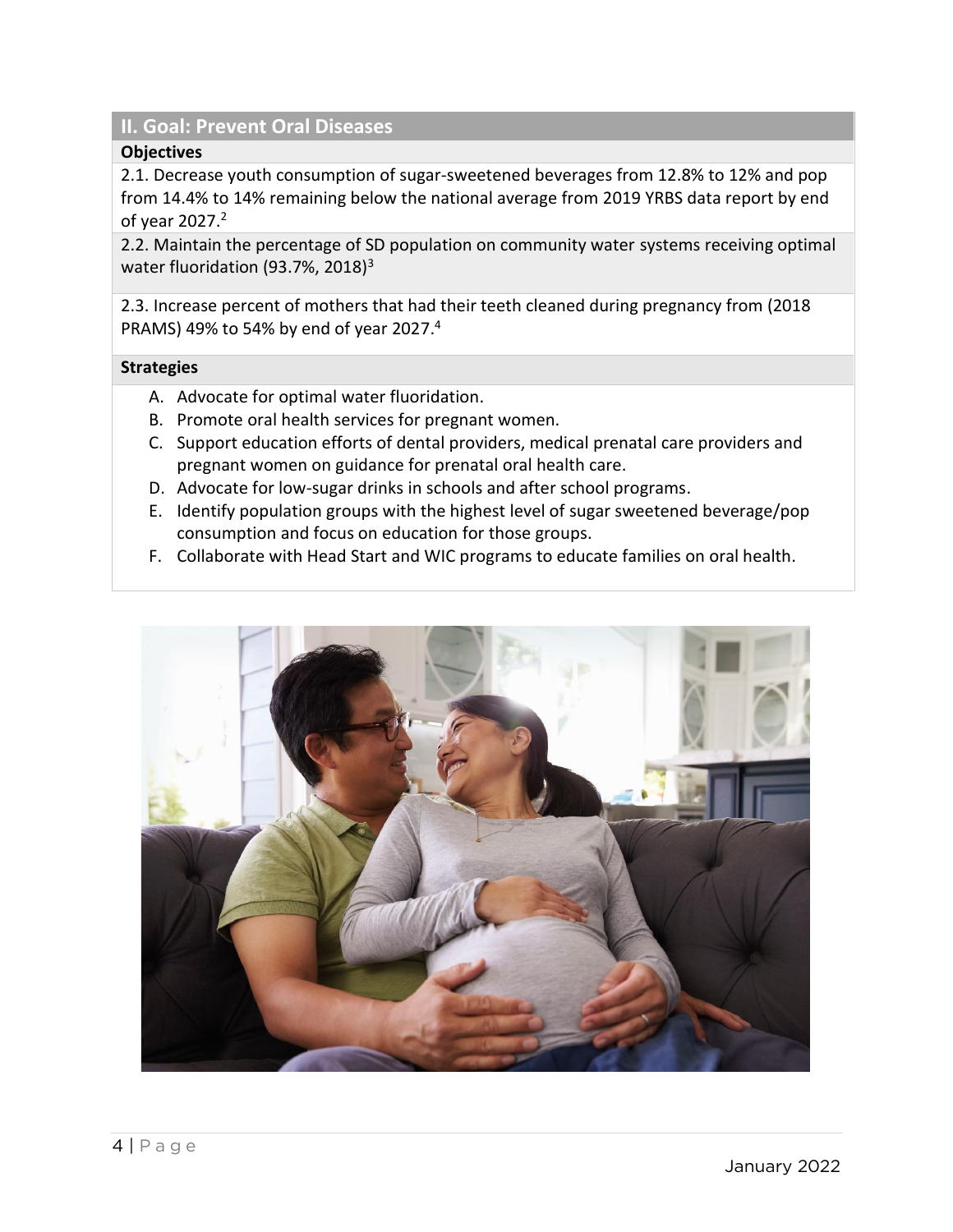## **II. Goal: Prevent Oral Diseases**

#### **Objectives**

2.1. Decrease youth consumption of sugar-sweetened beverages from 12.8% to 12% and pop from 14.4% to 14% remaining below the national average from 2019 YRBS data report by end of year 2027. 2

2.2. Maintain the percentage of SD population on community water systems receiving optimal water fluoridation (93.7%, 2018)<sup>3</sup>

2.3. Increase percent of mothers that had their teeth cleaned during pregnancy from (2018 PRAMS) 49% to 54% by end of year 2027. 4

#### **Strategies**

- A. Advocate for optimal water fluoridation.
- B. Promote oral health services for pregnant women.
- C. Support education efforts of dental providers, medical prenatal care providers and pregnant women on guidance for prenatal oral health care.
- D. Advocate for low-sugar drinks in schools and after school programs.
- E. Identify population groups with the highest level of sugar sweetened beverage/pop consumption and focus on education for those groups.
- F. Collaborate with Head Start and WIC programs to educate families on oral health.

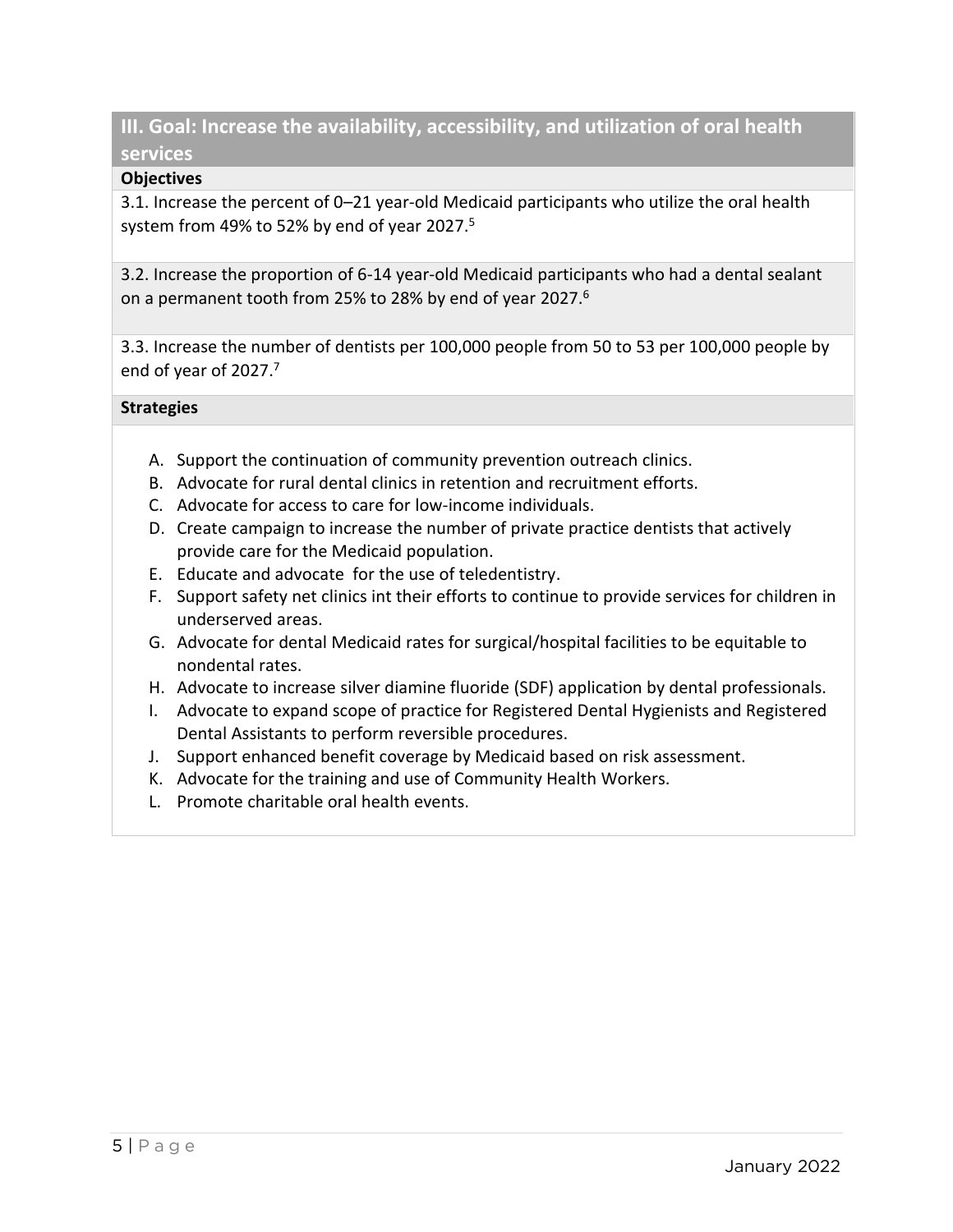# **III. Goal: Increase the availability, accessibility, and utilization of oral health services**

## **Objectives**

3.1. Increase the percent of 0–21 year-old Medicaid participants who utilize the oral health system from 49% to 52% by end of year 2027. 5

3.2. Increase the proportion of 6-14 year-old Medicaid participants who had a dental sealant on a permanent tooth from 25% to 28% by end of year 2027.<sup>6</sup>

3.3. Increase the number of dentists per 100,000 people from 50 to 53 per 100,000 people by end of year of 2027. 7

## **Strategies**

- A. Support the continuation of community prevention outreach clinics.
- B. Advocate for rural dental clinics in retention and recruitment efforts.
- C. Advocate for access to care for low-income individuals.
- D. Create campaign to increase the number of private practice dentists that actively provide care for the Medicaid population.
- E. Educate and advocate for the use of teledentistry.
- F. Support safety net clinics int their efforts to continue to provide services for children in underserved areas.
- G. Advocate for dental Medicaid rates for surgical/hospital facilities to be equitable to nondental rates.
- H. Advocate to increase silver diamine fluoride (SDF) application by dental professionals.
- I. Advocate to expand scope of practice for Registered Dental Hygienists and Registered Dental Assistants to perform reversible procedures.
- J. Support enhanced benefit coverage by Medicaid based on risk assessment.
- K. Advocate for the training and use of Community Health Workers.
- L. Promote charitable oral health events.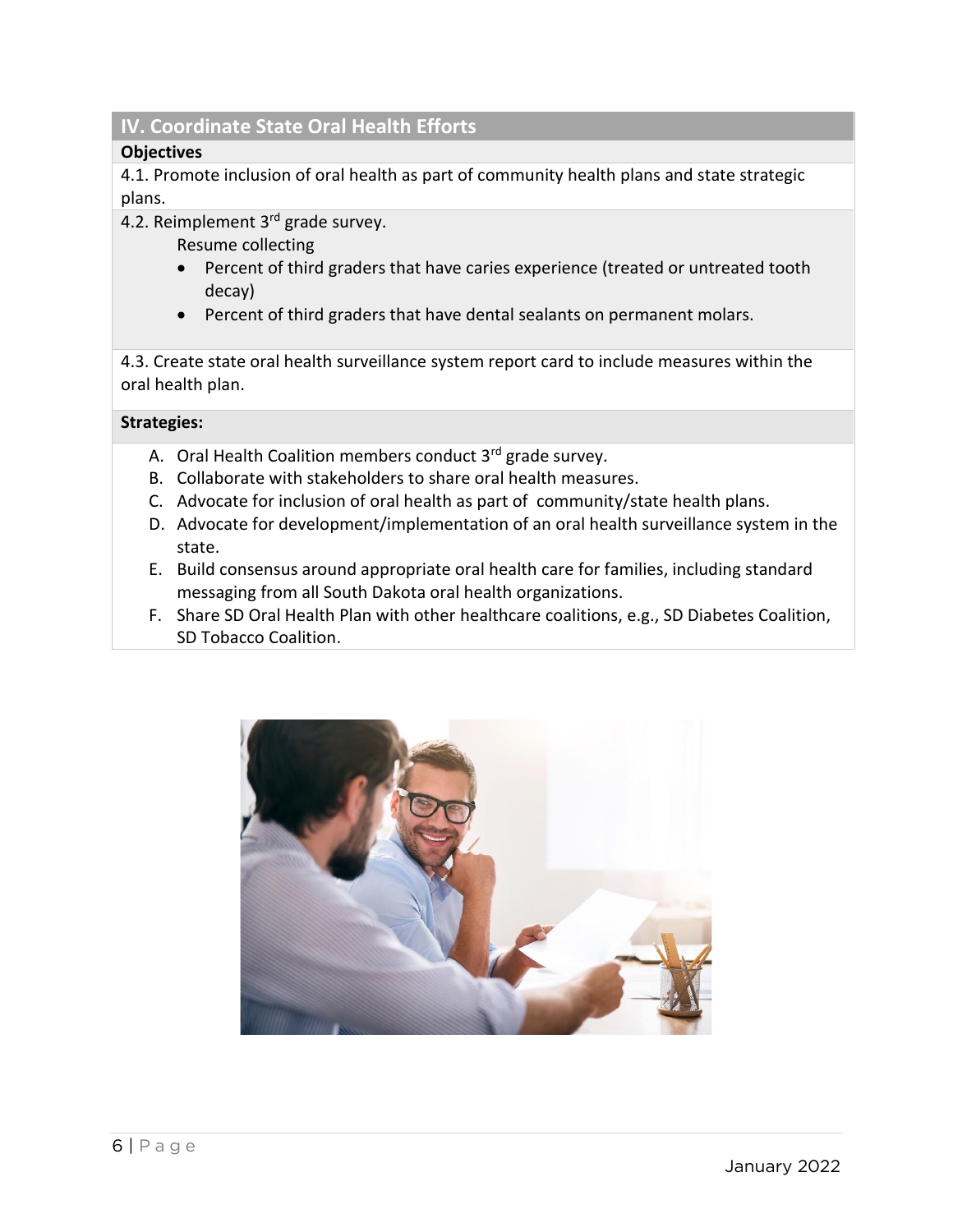# **IV. Coordinate State Oral Health Efforts**

## **Objectives**

4.1. Promote inclusion of oral health as part of community health plans and state strategic plans.

4.2. Reimplement 3<sup>rd</sup> grade survey.

Resume collecting

- Percent of third graders that have caries experience (treated or untreated tooth decay)
- Percent of third graders that have dental sealants on permanent molars.

4.3. Create state oral health surveillance system report card to include measures within the oral health plan.

## **Strategies:**

- A. Oral Health Coalition members conduct 3<sup>rd</sup> grade survey.
- B. Collaborate with stakeholders to share oral health measures.
- C. Advocate for inclusion of oral health as part of community/state health plans.
- D. Advocate for development/implementation of an oral health surveillance system in the state.
- E. Build consensus around appropriate oral health care for families, including standard messaging from all South Dakota oral health organizations.
- F. Share SD Oral Health Plan with other healthcare coalitions, e.g., SD Diabetes Coalition, SD Tobacco Coalition.

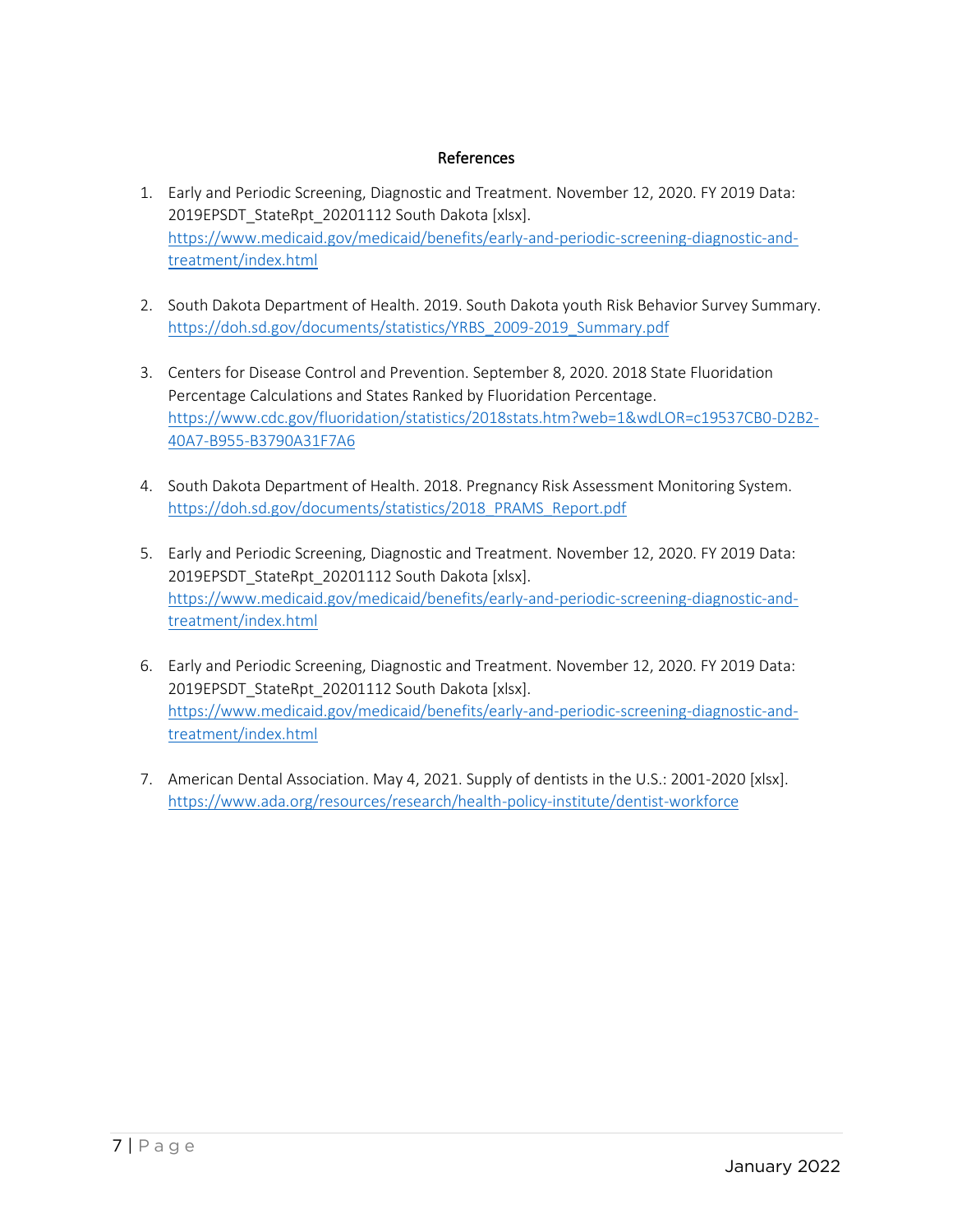#### References

- 1. Early and Periodic Screening, Diagnostic and Treatment. November 12, 2020. FY 2019 Data: 2019EPSDT\_StateRpt\_20201112 South Dakota [xlsx]. [https://www.medicaid.gov/medicaid/benefits/early-and-periodic-screening-diagnostic-and](https://www.medicaid.gov/medicaid/benefits/early-and-periodic-screening-diagnostic-and-treatment/index.html)[treatment/index.html](https://www.medicaid.gov/medicaid/benefits/early-and-periodic-screening-diagnostic-and-treatment/index.html)
- 2. South Dakota Department of Health. 2019. South Dakota youth Risk Behavior Survey Summary. [https://doh.sd.gov/documents/statistics/YRBS\\_2009-2019\\_Summary.pdf](https://doh.sd.gov/documents/statistics/YRBS_2009-2019_Summary.pdf)
- 3. Centers for Disease Control and Prevention. September 8, 2020. 2018 State Fluoridation Percentage Calculations and States Ranked by Fluoridation Percentage. [https://www.cdc.gov/fluoridation/statistics/2018stats.htm?web=1&wdLOR=c19537CB0-D2B2-](https://www.cdc.gov/fluoridation/statistics/2018stats.htm?web=1&wdLOR=c19537CB0-D2B2-40A7-B955-B3790A31F7A6) [40A7-B955-B3790A31F7A6](https://www.cdc.gov/fluoridation/statistics/2018stats.htm?web=1&wdLOR=c19537CB0-D2B2-40A7-B955-B3790A31F7A6)
- 4. South Dakota Department of Health. 2018. Pregnancy Risk Assessment Monitoring System. [https://doh.sd.gov/documents/statistics/2018\\_PRAMS\\_Report.pdf](https://doh.sd.gov/documents/statistics/2018_PRAMS_Report.pdf)
- 5. Early and Periodic Screening, Diagnostic and Treatment. November 12, 2020. FY 2019 Data: 2019EPSDT\_StateRpt\_20201112 South Dakota [xlsx]. [https://www.medicaid.gov/medicaid/benefits/early-and-periodic-screening-diagnostic-and](https://www.medicaid.gov/medicaid/benefits/early-and-periodic-screening-diagnostic-and-treatment/index.html)[treatment/index.html](https://www.medicaid.gov/medicaid/benefits/early-and-periodic-screening-diagnostic-and-treatment/index.html)
- 6. Early and Periodic Screening, Diagnostic and Treatment. November 12, 2020. FY 2019 Data: 2019EPSDT\_StateRpt\_20201112 South Dakota [xlsx]. [https://www.medicaid.gov/medicaid/benefits/early-and-periodic-screening-diagnostic-and](https://www.medicaid.gov/medicaid/benefits/early-and-periodic-screening-diagnostic-and-treatment/index.html)[treatment/index.html](https://www.medicaid.gov/medicaid/benefits/early-and-periodic-screening-diagnostic-and-treatment/index.html)
- 7. American Dental Association. May 4, 2021. Supply of dentists in the U.S.: 2001-2020 [xlsx]. <https://www.ada.org/resources/research/health-policy-institute/dentist-workforce>